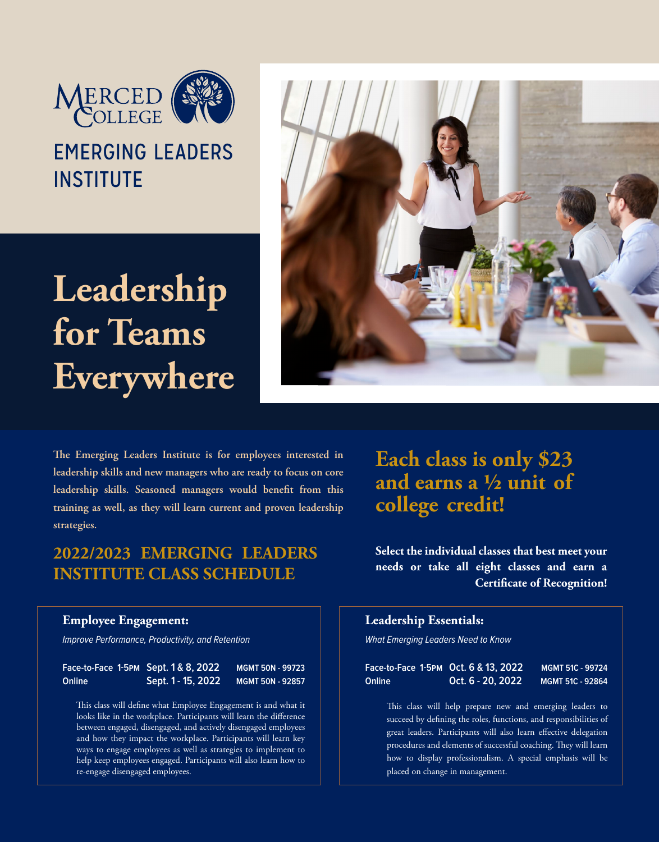

# EMERGING LEADERS **INSTITUTE**

**Leadership for Teams Everywhere**



The Emerging Leaders Institute is for employees interested in **leadership skills and new managers who are ready to focus on core**  leadership skills. Seasoned managers would benefit from this **training as well, as they will learn current and proven leadership strategies.**

# **2022/2023 EMERGING LEADERS INSTITUTE CLASS SCHEDULE**

#### **Employee Engagement:**

Improve Performance, Productivity, and Retention

| Face-to-Face 1-5PM Sept. 1 & 8, 2022 |                    | <b>MGMT 50N - 99723</b> |
|--------------------------------------|--------------------|-------------------------|
| Online                               | Sept. 1 - 15, 2022 | <b>MGMT 50N - 92857</b> |

This class will define what Employee Engagement is and what it looks like in the workplace. Participants will learn the difference between engaged, disengaged, and actively disengaged employees and how they impact the workplace. Participants will learn key ways to engage employees as well as strategies to implement to help keep employees engaged. Participants will also learn how to re-engage disengaged employees.

**Each class is only \$23 and earns a ½ unit of college credit!**

**Select the individual classes that best meet your needs or take all eight classes and earn a Certificate of Recognition!** 

## **Leadership Essentials:**

What Emerging Leaders Need to Know

| Face-to-Face 1-5PM Oct. 6 & 13, 2022' |                   | MGMT 51C - 99724        |
|---------------------------------------|-------------------|-------------------------|
| Online                                | Oct. 6 - 20, 2022 | <b>MGMT 51C - 92864</b> |

This class will help prepare new and emerging leaders to succeed by defining the roles, functions, and responsibilities of great leaders. Participants will also learn effective delegation procedures and elements of successful coaching. They will learn how to display professionalism. A special emphasis will be placed on change in management.